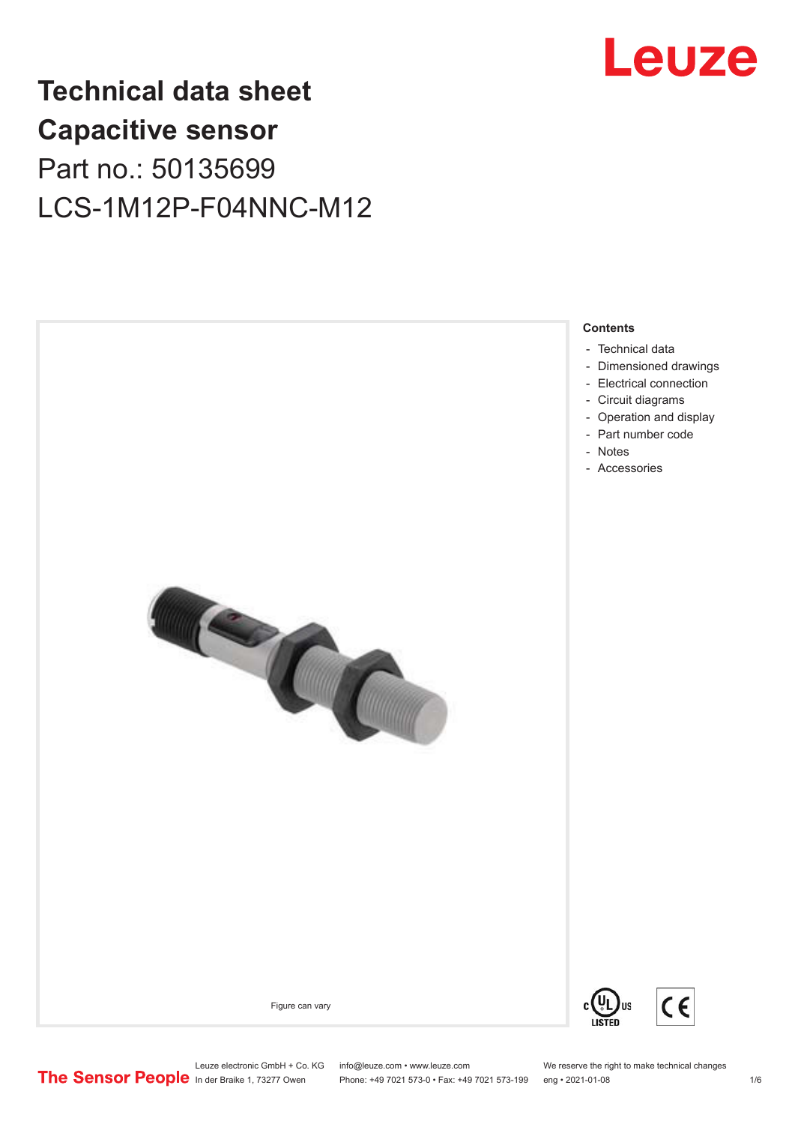

## **Technical data sheet Capacitive sensor** Part no.: 50135699 LCS-1M12P-F04NNC-M12



Phone: +49 7021 573-0 • Fax: +49 7021 573-199 eng • 2021-01-08 1/6

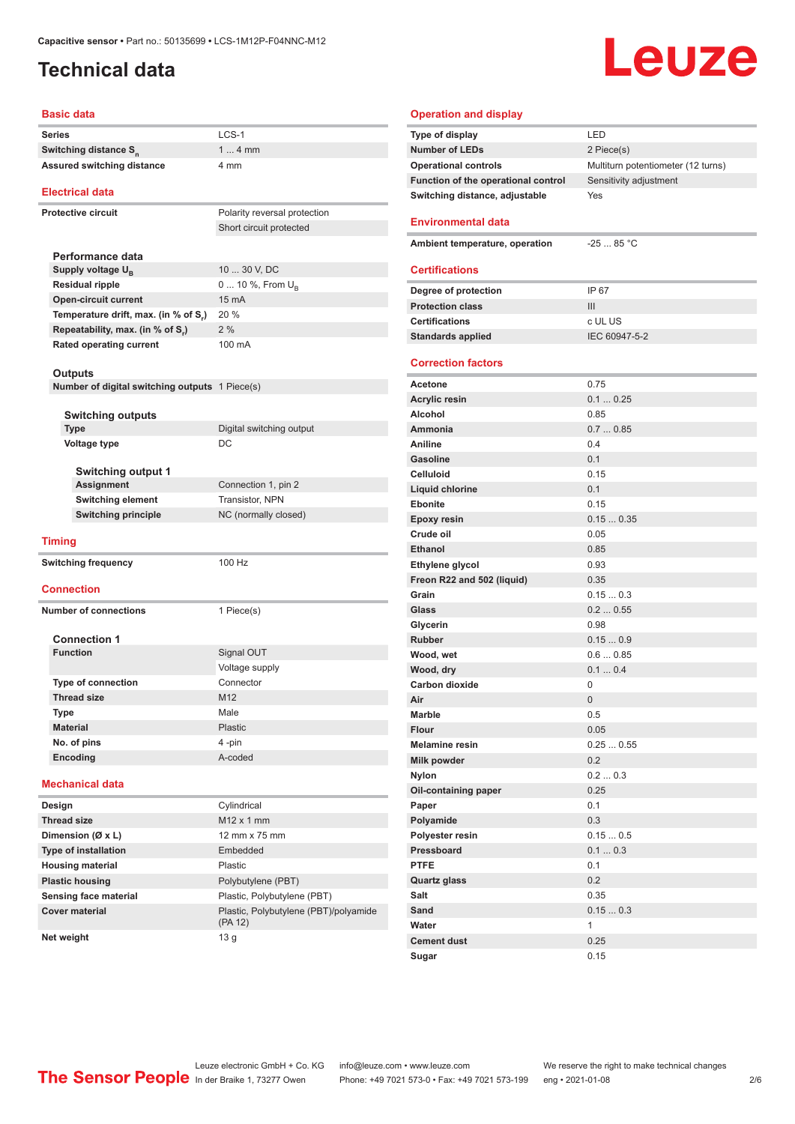#### <span id="page-1-0"></span>**Technical data**

# Leuze

#### **Basic data**

| Series                                                | LCS-1                                 |
|-------------------------------------------------------|---------------------------------------|
| Switching distance S <sub>n</sub>                     | $14$ mm                               |
| <b>Assured switching distance</b>                     | 4 mm                                  |
| <b>Electrical data</b>                                |                                       |
| <b>Protective circuit</b>                             | Polarity reversal protection          |
|                                                       | Short circuit protected               |
|                                                       |                                       |
| Performance data                                      |                                       |
| Supply voltage $U_{B}$                                | 10  30 V, DC                          |
| <b>Residual ripple</b>                                | 0  10 %, From $U_{\rm B}$             |
| <b>Open-circuit current</b>                           | 15 mA                                 |
| Temperature drift, max. (in % of S.)                  | 20 %                                  |
| Repeatability, max. (in % of S.)                      | 2%                                    |
| <b>Rated operating current</b>                        | 100 mA                                |
|                                                       |                                       |
| <b>Outputs</b>                                        |                                       |
| <b>Number of digital switching outputs</b> 1 Piece(s) |                                       |
|                                                       |                                       |
| <b>Switching outputs</b>                              |                                       |
| <b>Type</b>                                           | Digital switching output              |
| Voltage type                                          | DC                                    |
|                                                       |                                       |
| <b>Switching output 1</b>                             |                                       |
| Assignment                                            | Connection 1, pin 2                   |
| Switching element                                     | Transistor, NPN                       |
| <b>Switching principle</b>                            | NC (normally closed)                  |
| <b>Timing</b>                                         |                                       |
|                                                       |                                       |
| <b>Switching frequency</b>                            | 100 Hz                                |
| <b>Connection</b>                                     |                                       |
|                                                       |                                       |
| <b>Number of connections</b>                          | 1 Piece(s)                            |
|                                                       |                                       |
| <b>Connection 1</b>                                   |                                       |
| <b>Function</b>                                       | Signal OUT                            |
|                                                       | Voltage supply                        |
| <b>Type of connection</b>                             | Connector                             |
| <b>Thread size</b>                                    | M12                                   |
| Type                                                  | Male                                  |
| <b>Material</b>                                       | Plastic                               |
| No. of pins                                           | 4 -pin                                |
| Encoding                                              | A-coded                               |
| <b>Mechanical data</b>                                |                                       |
| Design                                                | Cylindrical                           |
| <b>Thread size</b>                                    | $M12 \times 1$ mm                     |
| Dimension (Ø x L)                                     | 12 mm x 75 mm                         |
| <b>Type of installation</b>                           | Embedded                              |
| <b>Housing material</b>                               | Plastic                               |
|                                                       | Polybutylene (PBT)                    |
| <b>Plastic housing</b>                                |                                       |
| Sensing face material                                 | Plastic, Polybutylene (PBT)           |
| <b>Cover material</b>                                 | Plastic, Polybutylene (PBT)/polyamide |

| <b>Operation and display</b>        |                                    |  |  |  |
|-------------------------------------|------------------------------------|--|--|--|
| Type of display                     | LED                                |  |  |  |
| <b>Number of LEDs</b>               | 2 Piece(s)                         |  |  |  |
| <b>Operational controls</b>         | Multiturn potentiometer (12 turns) |  |  |  |
| Function of the operational control | Sensitivity adjustment             |  |  |  |
| Switching distance, adjustable      | Yes                                |  |  |  |
|                                     |                                    |  |  |  |
| <b>Environmental data</b>           |                                    |  |  |  |
| Ambient temperature, operation      | $-2585 °C$                         |  |  |  |
|                                     |                                    |  |  |  |
| <b>Certifications</b>               |                                    |  |  |  |
| Degree of protection                | IP 67                              |  |  |  |
| <b>Protection class</b>             | III                                |  |  |  |
| <b>Certifications</b>               | c UL US                            |  |  |  |
| <b>Standards applied</b>            | IEC 60947-5-2                      |  |  |  |
|                                     |                                    |  |  |  |
| <b>Correction factors</b>           |                                    |  |  |  |
| Acetone                             | 0.75                               |  |  |  |
| <b>Acrylic resin</b>                | 0.10.25                            |  |  |  |
| <b>Alcohol</b>                      | 0.85                               |  |  |  |
| Ammonia                             | 0.70.85                            |  |  |  |
| <b>Aniline</b>                      | 0.4                                |  |  |  |
| <b>Gasoline</b>                     | 0.1                                |  |  |  |
| <b>Celluloid</b>                    | 0.15                               |  |  |  |
| Liquid chlorine                     | 0.1                                |  |  |  |
| <b>Ebonite</b>                      | 0.15                               |  |  |  |
| <b>Epoxy resin</b>                  | 0.150.35                           |  |  |  |
| Crude oil                           | 0.05                               |  |  |  |
| <b>Ethanol</b>                      | 0.85                               |  |  |  |
| Ethylene glycol                     | 0.93                               |  |  |  |
| Freon R22 and 502 (liquid)          | 0.35                               |  |  |  |
| Grain                               | 0.150.3                            |  |  |  |
| Glass                               | 0.20.55                            |  |  |  |
| Glycerin                            | 0.98                               |  |  |  |
| <b>Rubber</b>                       | 0.150.9                            |  |  |  |
| Wood, wet                           | 0.60.85                            |  |  |  |
| Wood, dry                           | 0.10.4                             |  |  |  |
| <b>Carbon dioxide</b>               | 0                                  |  |  |  |
| Air                                 | 0                                  |  |  |  |
| <b>Marble</b>                       | 0.5                                |  |  |  |
| <b>Flour</b>                        | 0.05                               |  |  |  |
| <b>Melamine resin</b>               | 0.250.55                           |  |  |  |
| <b>Milk powder</b>                  | 0.2                                |  |  |  |
| <b>Nylon</b>                        | 0.20.3                             |  |  |  |
| Oil-containing paper                | 0.25                               |  |  |  |
| Paper                               | 0.1                                |  |  |  |
| Polyamide                           | 0.3                                |  |  |  |
| Polyester resin                     | 0.150.5                            |  |  |  |
| Pressboard                          | 0.10.3                             |  |  |  |
| <b>PTFE</b>                         | 0.1                                |  |  |  |
| <b>Quartz glass</b>                 | 0.2                                |  |  |  |
| Salt                                | 0.35                               |  |  |  |
| Sand                                | 0.150.3                            |  |  |  |
| Water                               | 1                                  |  |  |  |
| <b>Cement dust</b>                  | 0.25                               |  |  |  |
| Sugar                               | 0.15                               |  |  |  |

ln der Braike 1, 73277 Owen Phone: +49 7021 573-0 • Fax: +49 7021 573-199 eng • 2021-01-08 2/6

**Net weight** 13 g

(PA 12)

Leuze electronic GmbH + Co. KG info@leuze.com • www.leuze.com We reserve the right to make technical changes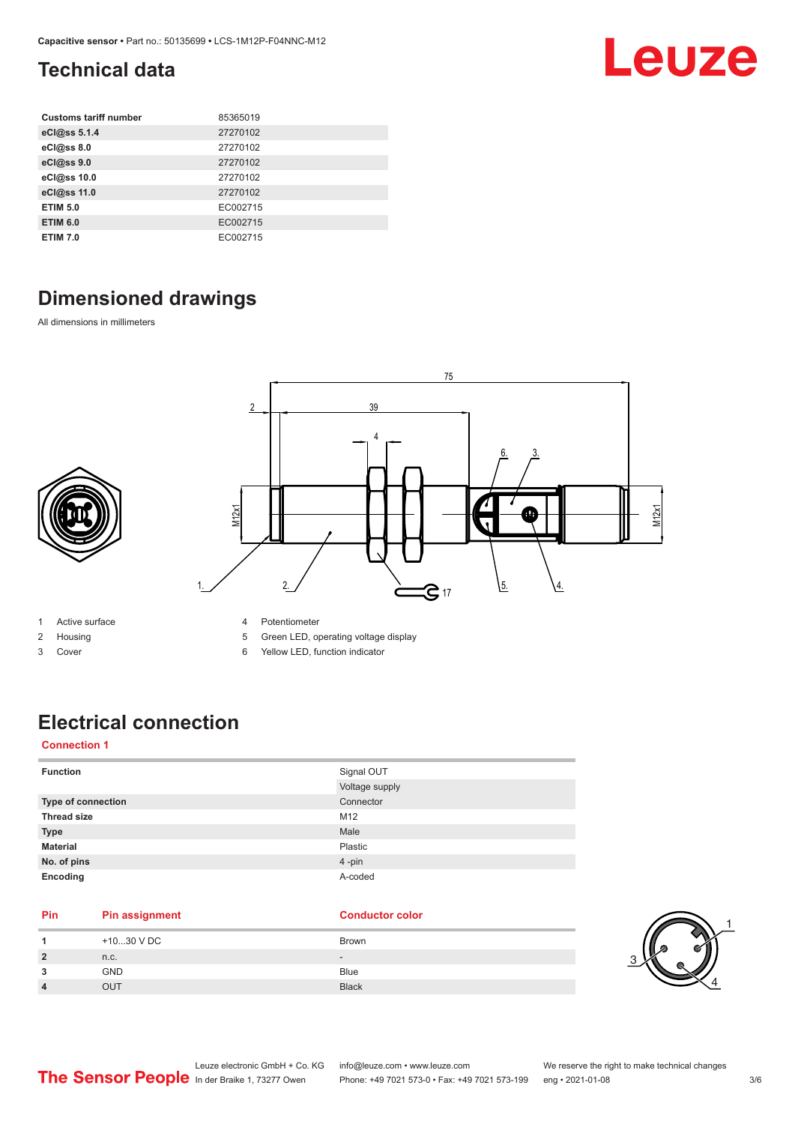#### <span id="page-2-0"></span>**Technical data**

| <b>Customs tariff number</b> | 85365019 |
|------------------------------|----------|
| eCl@ss 5.1.4                 | 27270102 |
| eCl@ss 8.0                   | 27270102 |
| eCl@ss 9.0                   | 27270102 |
| eCl@ss 10.0                  | 27270102 |
| eCl@ss 11.0                  | 27270102 |
| <b>ETIM 5.0</b>              | EC002715 |
| <b>ETIM 6.0</b>              | EC002715 |
| <b>ETIM 7.0</b>              | EC002715 |

#### **Dimensioned drawings**

All dimensions in millimeters



- 1 Active surface
- 2 Housing
- 3 Cover
- 4 Potentiometer
- 5 Green LED, operating voltage display
- 6 Yellow LED, function indicator

## **Electrical connection**

#### **Connection 1**

| <b>Function</b>           | Signal OUT     |
|---------------------------|----------------|
|                           | Voltage supply |
| <b>Type of connection</b> | Connector      |
| <b>Thread size</b>        | M12            |
| <b>Type</b>               | Male           |
| <b>Material</b>           | Plastic        |
| No. of pins               | 4-pin          |
| Encoding                  | A-coded        |

#### **Pin Pin assignment Conductor Conductor Color**

|                | +1030 V DC | <b>Brown</b>                 |
|----------------|------------|------------------------------|
| $\overline{2}$ | n.c.       | $\qquad \qquad \blacksquare$ |
| 3              | <b>GND</b> | <b>Blue</b>                  |
| 4              | OUT        | <b>Black</b>                 |



Leuze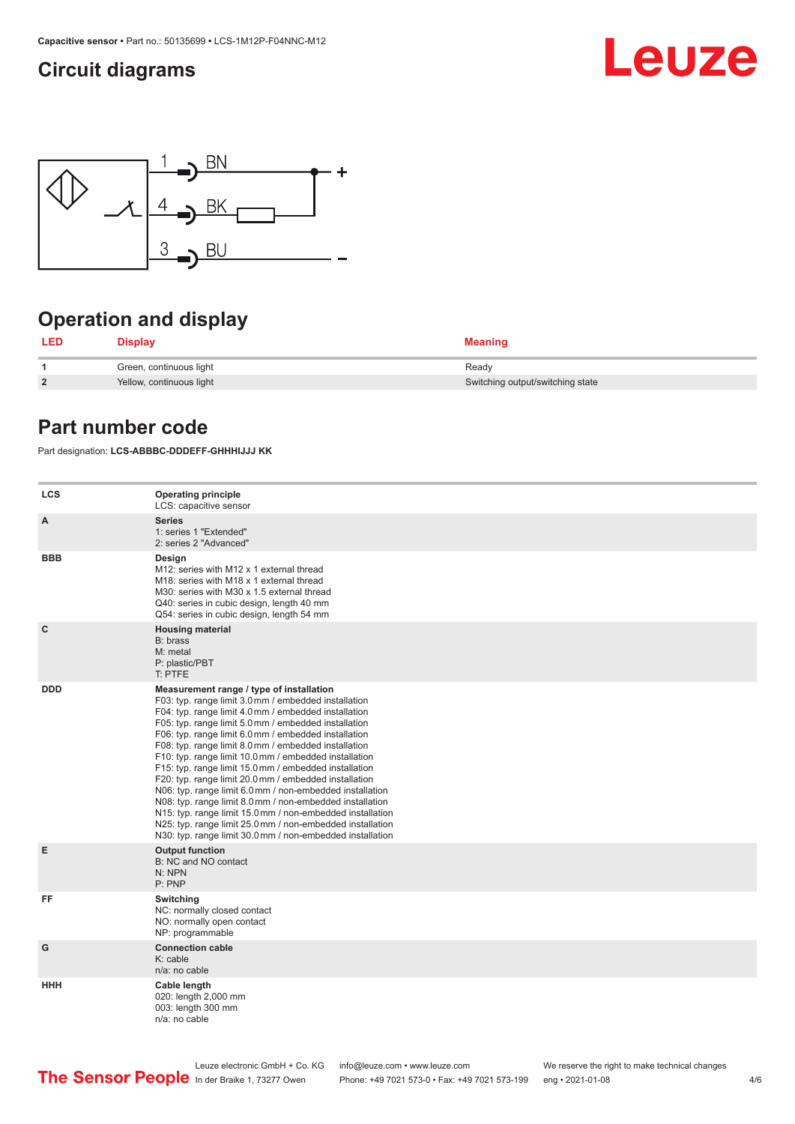#### <span id="page-3-0"></span>**Circuit diagrams**





### **Operation and display**

| LED            | Display                  | <b>Meaning</b>                   |
|----------------|--------------------------|----------------------------------|
|                | Green, continuous light  | Ready                            |
| $\overline{2}$ | Yellow, continuous light | Switching output/switching state |

#### **Part number code**

Part designation: **LCS-ABBBC-DDDEFF-GHHHIJJJ KK**

| <b>LCS</b>   | <b>Operating principle</b><br>LCS: capacitive sensor                                                                                                                                                                                                                                                                                                                                                                                                                                                                                                                                                                                                                                                                                                                                                                       |
|--------------|----------------------------------------------------------------------------------------------------------------------------------------------------------------------------------------------------------------------------------------------------------------------------------------------------------------------------------------------------------------------------------------------------------------------------------------------------------------------------------------------------------------------------------------------------------------------------------------------------------------------------------------------------------------------------------------------------------------------------------------------------------------------------------------------------------------------------|
| A            | <b>Series</b><br>1: series 1 "Extended"<br>2: series 2 "Advanced"                                                                                                                                                                                                                                                                                                                                                                                                                                                                                                                                                                                                                                                                                                                                                          |
| <b>BBB</b>   | Design<br>M12: series with M12 x 1 external thread<br>M18: series with M18 x 1 external thread<br>M30: series with M30 x 1.5 external thread<br>Q40: series in cubic design, length 40 mm<br>Q54: series in cubic design, length 54 mm                                                                                                                                                                                                                                                                                                                                                                                                                                                                                                                                                                                     |
| $\mathbf{C}$ | <b>Housing material</b><br>B: brass<br>M: metal<br>P: plastic/PBT<br>T: PTFE                                                                                                                                                                                                                                                                                                                                                                                                                                                                                                                                                                                                                                                                                                                                               |
| <b>DDD</b>   | Measurement range / type of installation<br>F03: typ. range limit 3.0 mm / embedded installation<br>F04: typ. range limit 4.0 mm / embedded installation<br>F05: typ. range limit 5.0 mm / embedded installation<br>F06: typ. range limit 6.0 mm / embedded installation<br>F08: typ. range limit 8.0 mm / embedded installation<br>F10: typ. range limit 10.0 mm / embedded installation<br>F15: typ. range limit 15.0 mm / embedded installation<br>F20: typ. range limit 20.0 mm / embedded installation<br>N06: typ. range limit 6.0 mm / non-embedded installation<br>N08: typ. range limit 8.0 mm / non-embedded installation<br>N15: typ. range limit 15.0 mm / non-embedded installation<br>N25: typ. range limit 25.0 mm / non-embedded installation<br>N30: typ. range limit 30.0 mm / non-embedded installation |
| Е            | <b>Output function</b><br>B: NC and NO contact<br>N: NPN<br>P: PNP                                                                                                                                                                                                                                                                                                                                                                                                                                                                                                                                                                                                                                                                                                                                                         |
| FF           | Switching<br>NC: normally closed contact<br>NO: normally open contact<br>NP: programmable                                                                                                                                                                                                                                                                                                                                                                                                                                                                                                                                                                                                                                                                                                                                  |
| G            | <b>Connection cable</b><br>$K:$ cable<br>$n/a$ : no cable                                                                                                                                                                                                                                                                                                                                                                                                                                                                                                                                                                                                                                                                                                                                                                  |
| <b>HHH</b>   | Cable length<br>020: length 2,000 mm<br>003: length 300 mm<br>n/a: no cable                                                                                                                                                                                                                                                                                                                                                                                                                                                                                                                                                                                                                                                                                                                                                |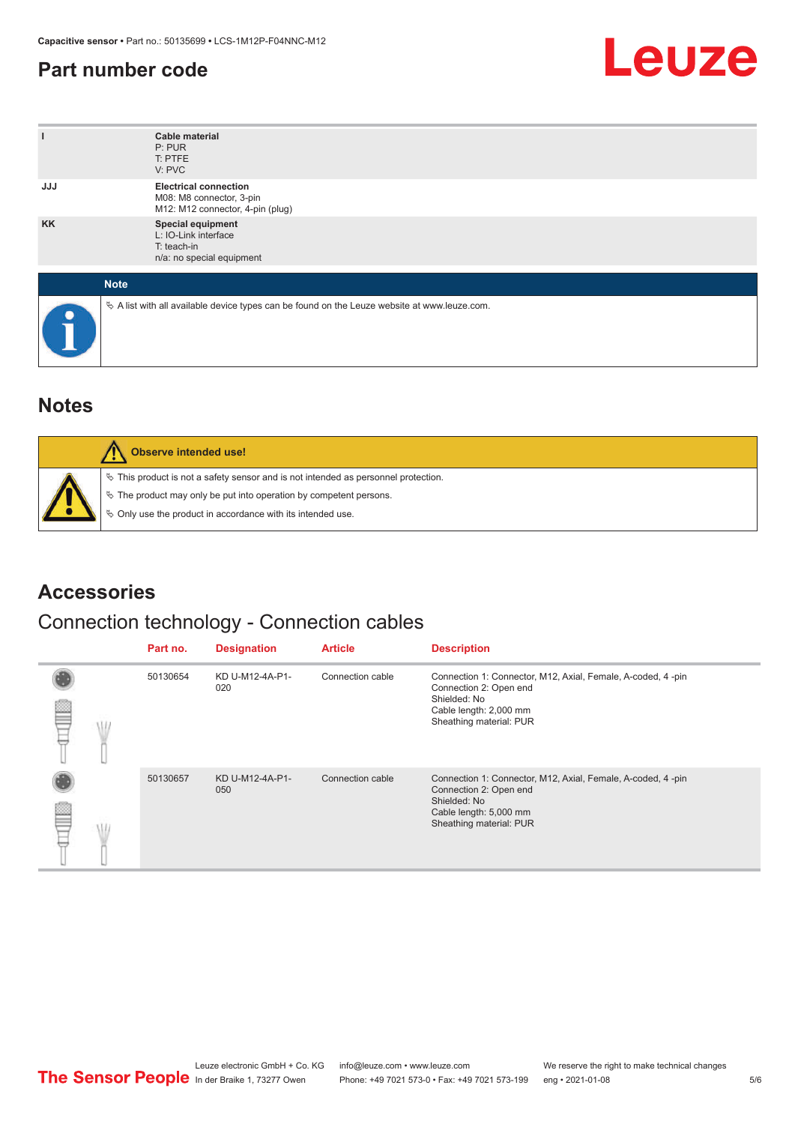#### <span id="page-4-0"></span>**Part number code**



| ı          | <b>Cable material</b><br>P: PUR<br>T: PTFE<br>V: PVC                                            |
|------------|-------------------------------------------------------------------------------------------------|
| <b>JJJ</b> | <b>Electrical connection</b><br>M08: M8 connector, 3-pin<br>M12: M12 connector, 4-pin (plug)    |
| <b>KK</b>  | Special equipment<br>L: IO-Link interface<br>T: teach-in<br>n/a: no special equipment           |
|            | <b>Note</b>                                                                                     |
| e          | $\&$ A list with all available device types can be found on the Leuze website at www.leuze.com. |

#### **Notes**

| Observe intended use!                                                                                                                                                                                                      |
|----------------------------------------------------------------------------------------------------------------------------------------------------------------------------------------------------------------------------|
| $\%$ This product is not a safety sensor and is not intended as personnel protection.<br>§ The product may only be put into operation by competent persons.<br>♦ Only use the product in accordance with its intended use. |

#### **Accessories**

#### Connection technology - Connection cables

|  | Part no. | <b>Designation</b>     | <b>Article</b>   | <b>Description</b>                                                                                                                                         |
|--|----------|------------------------|------------------|------------------------------------------------------------------------------------------------------------------------------------------------------------|
|  | 50130654 | KD U-M12-4A-P1-<br>020 | Connection cable | Connection 1: Connector, M12, Axial, Female, A-coded, 4-pin<br>Connection 2: Open end<br>Shielded: No<br>Cable length: 2,000 mm<br>Sheathing material: PUR |
|  | 50130657 | KD U-M12-4A-P1-<br>050 | Connection cable | Connection 1: Connector, M12, Axial, Female, A-coded, 4-pin<br>Connection 2: Open end<br>Shielded: No<br>Cable length: 5,000 mm<br>Sheathing material: PUR |